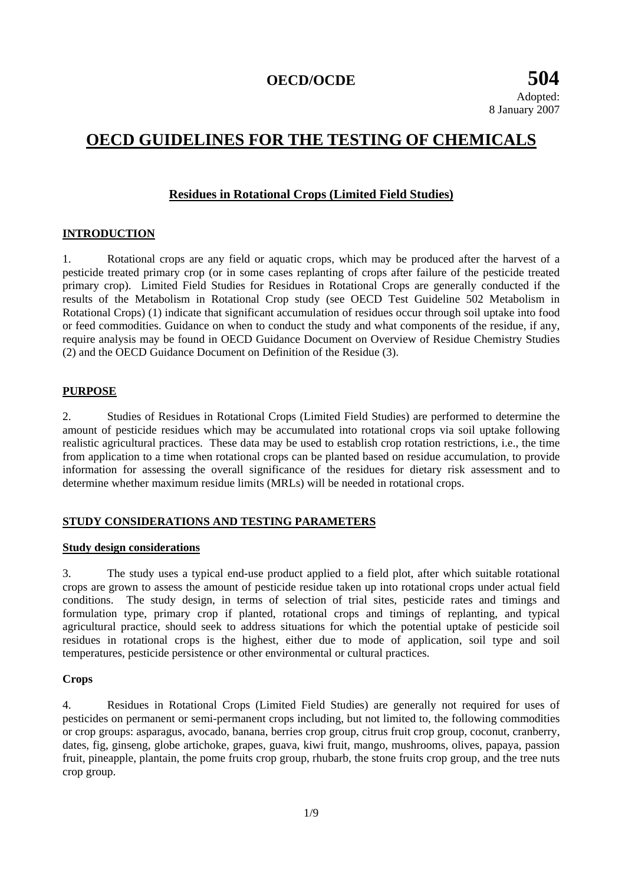# **OECD GUIDELINES FOR THE TESTING OF CHEMICALS**

## **Residues in Rotational Crops (Limited Field Studies)**

### **INTRODUCTION**

1. Rotational crops are any field or aquatic crops, which may be produced after the harvest of a pesticide treated primary crop (or in some cases replanting of crops after failure of the pesticide treated primary crop). Limited Field Studies for Residues in Rotational Crops are generally conducted if the results of the Metabolism in Rotational Crop study (see OECD Test Guideline 502 Metabolism in Rotational Crops) (1) indicate that significant accumulation of residues occur through soil uptake into food or feed commodities. Guidance on when to conduct the study and what components of the residue, if any, require analysis may be found in OECD Guidance Document on Overview of Residue Chemistry Studies (2) and the OECD Guidance Document on Definition of the Residue (3).

### **PURPOSE**

2. Studies of Residues in Rotational Crops (Limited Field Studies) are performed to determine the amount of pesticide residues which may be accumulated into rotational crops via soil uptake following realistic agricultural practices. These data may be used to establish crop rotation restrictions, i.e., the time from application to a time when rotational crops can be planted based on residue accumulation, to provide information for assessing the overall significance of the residues for dietary risk assessment and to determine whether maximum residue limits (MRLs) will be needed in rotational crops.

### **STUDY CONSIDERATIONS AND TESTING PARAMETERS**

### **Study design considerations**

3. The study uses a typical end-use product applied to a field plot, after which suitable rotational crops are grown to assess the amount of pesticide residue taken up into rotational crops under actual field conditions. The study design, in terms of selection of trial sites, pesticide rates and timings and formulation type, primary crop if planted, rotational crops and timings of replanting, and typical agricultural practice, should seek to address situations for which the potential uptake of pesticide soil residues in rotational crops is the highest, either due to mode of application, soil type and soil temperatures, pesticide persistence or other environmental or cultural practices.

### **Crops**

4. Residues in Rotational Crops (Limited Field Studies) are generally not required for uses of pesticides on permanent or semi-permanent crops including, but not limited to, the following commodities or crop groups: asparagus, avocado, banana, berries crop group, citrus fruit crop group, coconut, cranberry, dates, fig, ginseng, globe artichoke, grapes, guava, kiwi fruit, mango, mushrooms, olives, papaya, passion fruit, pineapple, plantain, the pome fruits crop group, rhubarb, the stone fruits crop group, and the tree nuts crop group.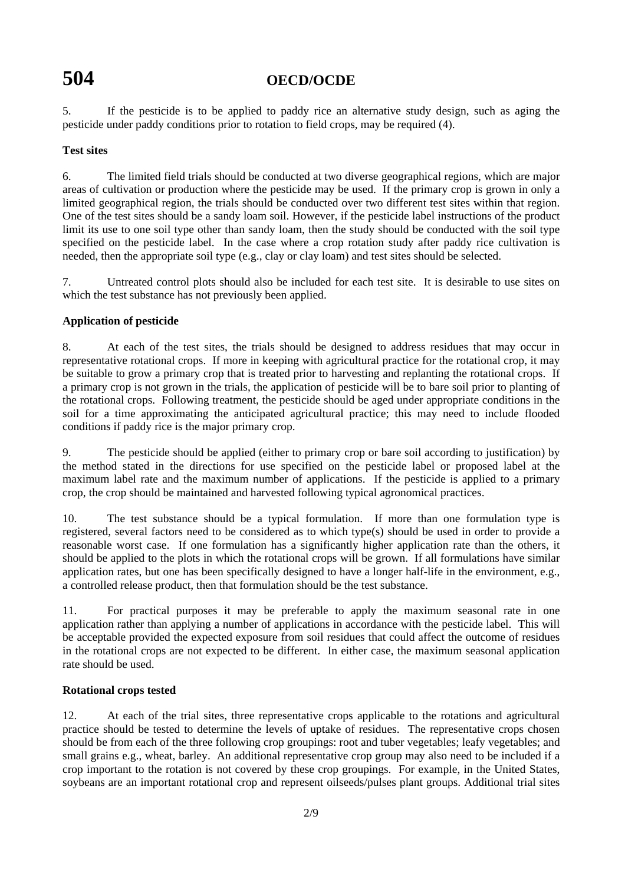5. If the pesticide is to be applied to paddy rice an alternative study design, such as aging the pesticide under paddy conditions prior to rotation to field crops, may be required (4).

## **Test sites**

6. The limited field trials should be conducted at two diverse geographical regions, which are major areas of cultivation or production where the pesticide may be used. If the primary crop is grown in only a limited geographical region, the trials should be conducted over two different test sites within that region. One of the test sites should be a sandy loam soil. However, if the pesticide label instructions of the product limit its use to one soil type other than sandy loam, then the study should be conducted with the soil type specified on the pesticide label. In the case where a crop rotation study after paddy rice cultivation is needed, then the appropriate soil type (e.g., clay or clay loam) and test sites should be selected.

7. Untreated control plots should also be included for each test site. It is desirable to use sites on which the test substance has not previously been applied.

## **Application of pesticide**

8. At each of the test sites, the trials should be designed to address residues that may occur in representative rotational crops. If more in keeping with agricultural practice for the rotational crop, it may be suitable to grow a primary crop that is treated prior to harvesting and replanting the rotational crops. If a primary crop is not grown in the trials, the application of pesticide will be to bare soil prior to planting of the rotational crops. Following treatment, the pesticide should be aged under appropriate conditions in the soil for a time approximating the anticipated agricultural practice; this may need to include flooded conditions if paddy rice is the major primary crop.

9. The pesticide should be applied (either to primary crop or bare soil according to justification) by the method stated in the directions for use specified on the pesticide label or proposed label at the maximum label rate and the maximum number of applications. If the pesticide is applied to a primary crop, the crop should be maintained and harvested following typical agronomical practices.

10. The test substance should be a typical formulation. If more than one formulation type is registered, several factors need to be considered as to which type(s) should be used in order to provide a reasonable worst case. If one formulation has a significantly higher application rate than the others, it should be applied to the plots in which the rotational crops will be grown. If all formulations have similar application rates, but one has been specifically designed to have a longer half-life in the environment, e.g., a controlled release product, then that formulation should be the test substance.

11. For practical purposes it may be preferable to apply the maximum seasonal rate in one application rather than applying a number of applications in accordance with the pesticide label. This will be acceptable provided the expected exposure from soil residues that could affect the outcome of residues in the rotational crops are not expected to be different. In either case, the maximum seasonal application rate should be used.

### **Rotational crops tested**

12. At each of the trial sites, three representative crops applicable to the rotations and agricultural practice should be tested to determine the levels of uptake of residues. The representative crops chosen should be from each of the three following crop groupings: root and tuber vegetables; leafy vegetables; and small grains e.g., wheat, barley. An additional representative crop group may also need to be included if a crop important to the rotation is not covered by these crop groupings. For example, in the United States, soybeans are an important rotational crop and represent oilseeds/pulses plant groups. Additional trial sites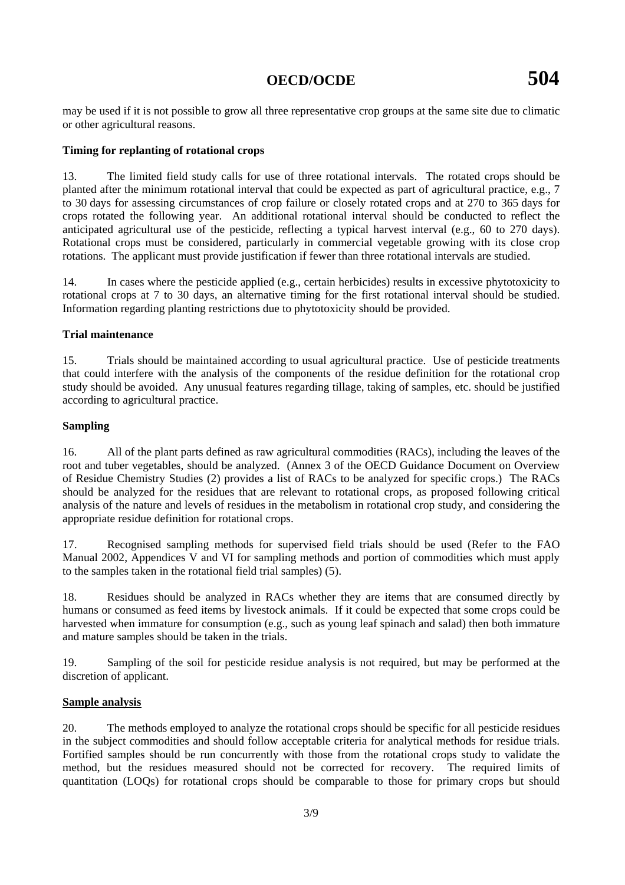may be used if it is not possible to grow all three representative crop groups at the same site due to climatic or other agricultural reasons.

### **Timing for replanting of rotational crops**

13. The limited field study calls for use of three rotational intervals. The rotated crops should be planted after the minimum rotational interval that could be expected as part of agricultural practice, e.g., 7 to 30 days for assessing circumstances of crop failure or closely rotated crops and at 270 to 365 days for crops rotated the following year. An additional rotational interval should be conducted to reflect the anticipated agricultural use of the pesticide, reflecting a typical harvest interval (e.g., 60 to 270 days). Rotational crops must be considered, particularly in commercial vegetable growing with its close crop rotations. The applicant must provide justification if fewer than three rotational intervals are studied.

14. In cases where the pesticide applied (e.g., certain herbicides) results in excessive phytotoxicity to rotational crops at 7 to 30 days, an alternative timing for the first rotational interval should be studied. Information regarding planting restrictions due to phytotoxicity should be provided.

## **Trial maintenance**

15. Trials should be maintained according to usual agricultural practice. Use of pesticide treatments that could interfere with the analysis of the components of the residue definition for the rotational crop study should be avoided. Any unusual features regarding tillage, taking of samples, etc. should be justified according to agricultural practice.

## **Sampling**

16. All of the plant parts defined as raw agricultural commodities (RACs), including the leaves of the root and tuber vegetables, should be analyzed. (Annex 3 of the OECD Guidance Document on Overview of Residue Chemistry Studies (2) provides a list of RACs to be analyzed for specific crops.) The RACs should be analyzed for the residues that are relevant to rotational crops, as proposed following critical analysis of the nature and levels of residues in the metabolism in rotational crop study, and considering the appropriate residue definition for rotational crops.

17. Recognised sampling methods for supervised field trials should be used (Refer to the FAO Manual 2002, Appendices V and VI for sampling methods and portion of commodities which must apply to the samples taken in the rotational field trial samples) (5).

18. Residues should be analyzed in RACs whether they are items that are consumed directly by humans or consumed as feed items by livestock animals. If it could be expected that some crops could be harvested when immature for consumption (e.g., such as young leaf spinach and salad) then both immature and mature samples should be taken in the trials.

19. Sampling of the soil for pesticide residue analysis is not required, but may be performed at the discretion of applicant.

### **Sample analysis**

20. The methods employed to analyze the rotational crops should be specific for all pesticide residues in the subject commodities and should follow acceptable criteria for analytical methods for residue trials. Fortified samples should be run concurrently with those from the rotational crops study to validate the method, but the residues measured should not be corrected for recovery. The required limits of quantitation (LOQs) for rotational crops should be comparable to those for primary crops but should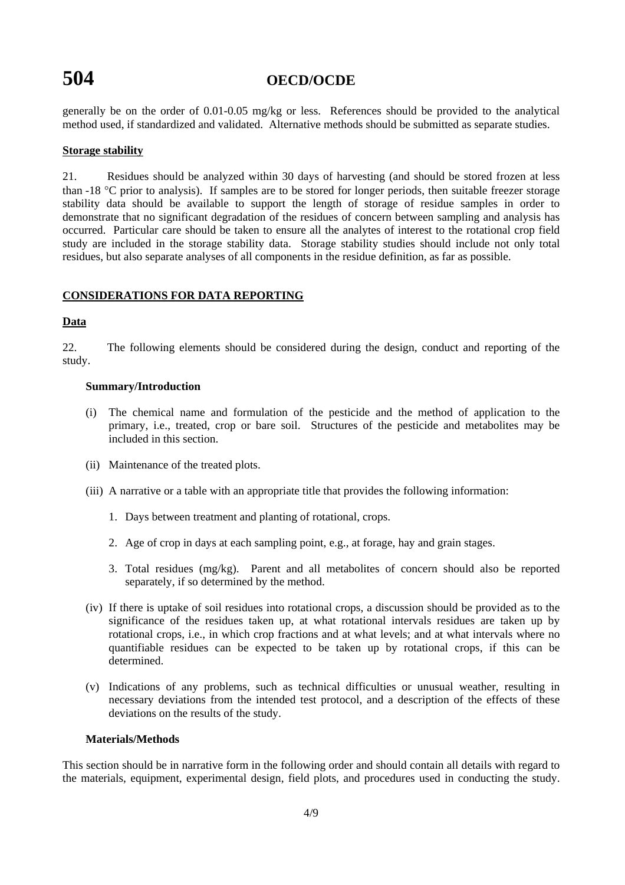generally be on the order of 0.01-0.05 mg/kg or less. References should be provided to the analytical method used, if standardized and validated. Alternative methods should be submitted as separate studies.

#### **Storage stability**

21. Residues should be analyzed within 30 days of harvesting (and should be stored frozen at less than -18 °C prior to analysis). If samples are to be stored for longer periods, then suitable freezer storage stability data should be available to support the length of storage of residue samples in order to demonstrate that no significant degradation of the residues of concern between sampling and analysis has occurred. Particular care should be taken to ensure all the analytes of interest to the rotational crop field study are included in the storage stability data. Storage stability studies should include not only total residues, but also separate analyses of all components in the residue definition, as far as possible.

## **CONSIDERATIONS FOR DATA REPORTING**

#### **Data**

22. The following elements should be considered during the design, conduct and reporting of the study.

#### **Summary/Introduction**

- (i) The chemical name and formulation of the pesticide and the method of application to the primary, i.e., treated, crop or bare soil. Structures of the pesticide and metabolites may be included in this section.
- (ii) Maintenance of the treated plots.
- (iii) A narrative or a table with an appropriate title that provides the following information:
	- 1. Days between treatment and planting of rotational, crops.
	- 2. Age of crop in days at each sampling point, e.g., at forage, hay and grain stages.
	- 3. Total residues (mg/kg). Parent and all metabolites of concern should also be reported separately, if so determined by the method.
- (iv) If there is uptake of soil residues into rotational crops, a discussion should be provided as to the significance of the residues taken up, at what rotational intervals residues are taken up by rotational crops, i.e., in which crop fractions and at what levels; and at what intervals where no quantifiable residues can be expected to be taken up by rotational crops, if this can be determined.
- (v) Indications of any problems, such as technical difficulties or unusual weather, resulting in necessary deviations from the intended test protocol, and a description of the effects of these deviations on the results of the study.

#### **Materials/Methods**

This section should be in narrative form in the following order and should contain all details with regard to the materials, equipment, experimental design, field plots, and procedures used in conducting the study.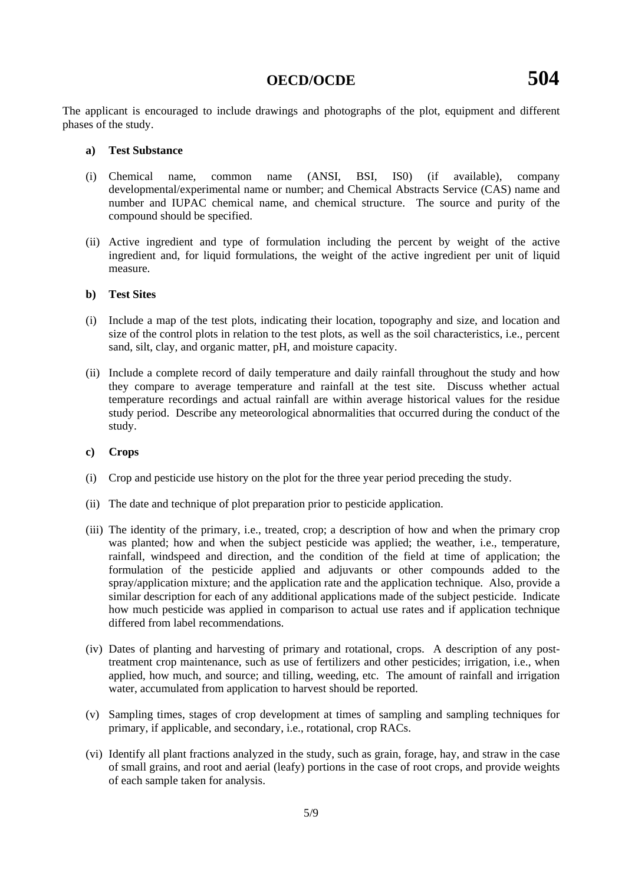### **a) Test Substance**

- (i) Chemical name, common name (ANSI, BSI, IS0) (if available), company developmental/experimental name or number; and Chemical Abstracts Service (CAS) name and number and IUPAC chemical name, and chemical structure. The source and purity of the compound should be specified.
- (ii) Active ingredient and type of formulation including the percent by weight of the active ingredient and, for liquid formulations, the weight of the active ingredient per unit of liquid measure.

## **b) Test Sites**

- (i) Include a map of the test plots, indicating their location, topography and size, and location and size of the control plots in relation to the test plots, as well as the soil characteristics, i.e., percent sand, silt, clay, and organic matter, pH, and moisture capacity.
- (ii) Include a complete record of daily temperature and daily rainfall throughout the study and how they compare to average temperature and rainfall at the test site. Discuss whether actual temperature recordings and actual rainfall are within average historical values for the residue study period. Describe any meteorological abnormalities that occurred during the conduct of the study.
- **c) Crops**
- (i) Crop and pesticide use history on the plot for the three year period preceding the study.
- (ii) The date and technique of plot preparation prior to pesticide application.
- (iii) The identity of the primary, i.e., treated, crop; a description of how and when the primary crop was planted; how and when the subject pesticide was applied; the weather, i.e., temperature, rainfall, windspeed and direction, and the condition of the field at time of application; the formulation of the pesticide applied and adjuvants or other compounds added to the spray/application mixture; and the application rate and the application technique. Also, provide a similar description for each of any additional applications made of the subject pesticide. Indicate how much pesticide was applied in comparison to actual use rates and if application technique differed from label recommendations.
- (iv) Dates of planting and harvesting of primary and rotational, crops. A description of any posttreatment crop maintenance, such as use of fertilizers and other pesticides; irrigation, i.e., when applied, how much, and source; and tilling, weeding, etc. The amount of rainfall and irrigation water, accumulated from application to harvest should be reported.
- (v) Sampling times, stages of crop development at times of sampling and sampling techniques for primary, if applicable, and secondary, i.e., rotational, crop RACs.
- (vi) Identify all plant fractions analyzed in the study, such as grain, forage, hay, and straw in the case of small grains, and root and aerial (leafy) portions in the case of root crops, and provide weights of each sample taken for analysis.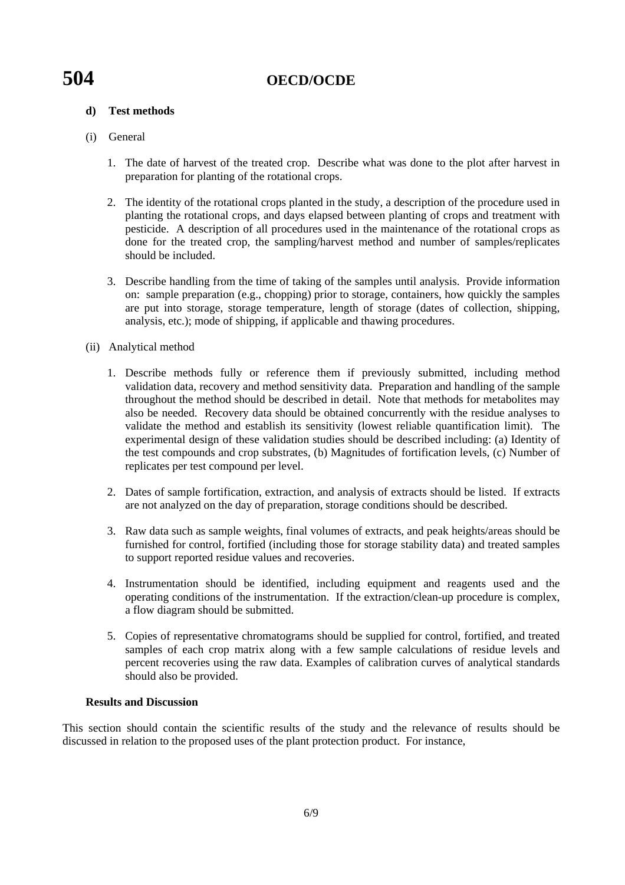# **d) Test methods**

# (i) General

- 1. The date of harvest of the treated crop. Describe what was done to the plot after harvest in preparation for planting of the rotational crops.
- 2. The identity of the rotational crops planted in the study, a description of the procedure used in planting the rotational crops, and days elapsed between planting of crops and treatment with pesticide. A description of all procedures used in the maintenance of the rotational crops as done for the treated crop, the sampling/harvest method and number of samples/replicates should be included.
- 3. Describe handling from the time of taking of the samples until analysis. Provide information on: sample preparation (e.g., chopping) prior to storage, containers, how quickly the samples are put into storage, storage temperature, length of storage (dates of collection, shipping, analysis, etc.); mode of shipping, if applicable and thawing procedures.

## (ii) Analytical method

- 1. Describe methods fully or reference them if previously submitted, including method validation data, recovery and method sensitivity data. Preparation and handling of the sample throughout the method should be described in detail. Note that methods for metabolites may also be needed. Recovery data should be obtained concurrently with the residue analyses to validate the method and establish its sensitivity (lowest reliable quantification limit). The experimental design of these validation studies should be described including: (a) Identity of the test compounds and crop substrates, (b) Magnitudes of fortification levels, (c) Number of replicates per test compound per level.
- 2. Dates of sample fortification, extraction, and analysis of extracts should be listed. If extracts are not analyzed on the day of preparation, storage conditions should be described.
- 3. Raw data such as sample weights, final volumes of extracts, and peak heights/areas should be furnished for control, fortified (including those for storage stability data) and treated samples to support reported residue values and recoveries.
- 4. Instrumentation should be identified, including equipment and reagents used and the operating conditions of the instrumentation. If the extraction/clean-up procedure is complex, a flow diagram should be submitted.
- 5. Copies of representative chromatograms should be supplied for control, fortified, and treated samples of each crop matrix along with a few sample calculations of residue levels and percent recoveries using the raw data. Examples of calibration curves of analytical standards should also be provided.

### **Results and Discussion**

This section should contain the scientific results of the study and the relevance of results should be discussed in relation to the proposed uses of the plant protection product. For instance,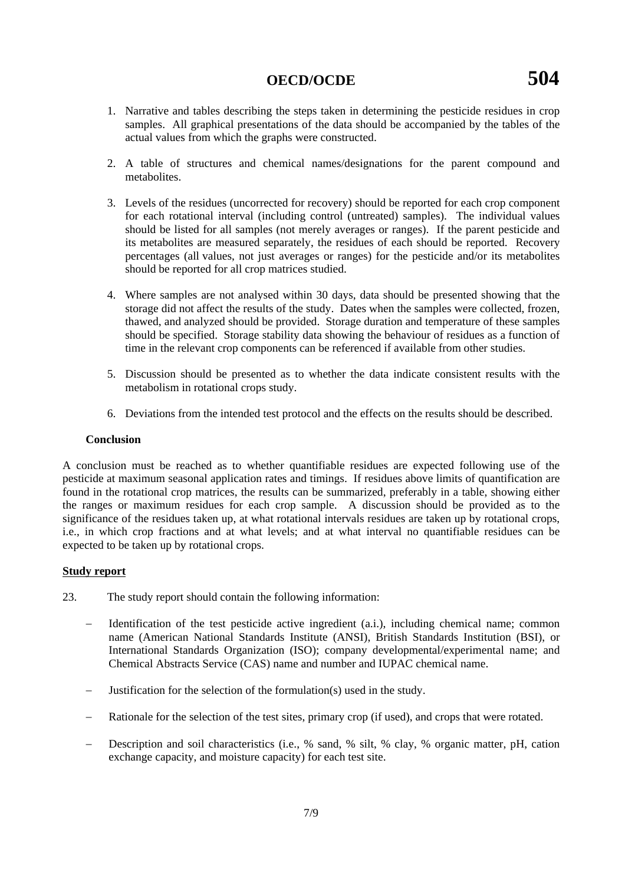- 1. Narrative and tables describing the steps taken in determining the pesticide residues in crop samples. All graphical presentations of the data should be accompanied by the tables of the actual values from which the graphs were constructed.
- 2. A table of structures and chemical names/designations for the parent compound and metabolites.
- 3. Levels of the residues (uncorrected for recovery) should be reported for each crop component for each rotational interval (including control (untreated) samples). The individual values should be listed for all samples (not merely averages or ranges). If the parent pesticide and its metabolites are measured separately, the residues of each should be reported. Recovery percentages (all values, not just averages or ranges) for the pesticide and/or its metabolites should be reported for all crop matrices studied.
- 4. Where samples are not analysed within 30 days, data should be presented showing that the storage did not affect the results of the study. Dates when the samples were collected, frozen, thawed, and analyzed should be provided. Storage duration and temperature of these samples should be specified. Storage stability data showing the behaviour of residues as a function of time in the relevant crop components can be referenced if available from other studies.
- 5. Discussion should be presented as to whether the data indicate consistent results with the metabolism in rotational crops study.
- 6. Deviations from the intended test protocol and the effects on the results should be described.

#### **Conclusion**

A conclusion must be reached as to whether quantifiable residues are expected following use of the pesticide at maximum seasonal application rates and timings. If residues above limits of quantification are found in the rotational crop matrices, the results can be summarized, preferably in a table, showing either the ranges or maximum residues for each crop sample. A discussion should be provided as to the significance of the residues taken up, at what rotational intervals residues are taken up by rotational crops, i.e., in which crop fractions and at what levels; and at what interval no quantifiable residues can be expected to be taken up by rotational crops.

### **Study report**

23. The study report should contain the following information:

- − Identification of the test pesticide active ingredient (a.i.), including chemical name; common name (American National Standards Institute (ANSI), British Standards Institution (BSI), or International Standards Organization (ISO); company developmental/experimental name; and Chemical Abstracts Service (CAS) name and number and IUPAC chemical name.
- − Justification for the selection of the formulation(s) used in the study.
- Rationale for the selection of the test sites, primary crop (if used), and crops that were rotated.
- − Description and soil characteristics (i.e., % sand, % silt, % clay, % organic matter, pH, cation exchange capacity, and moisture capacity) for each test site.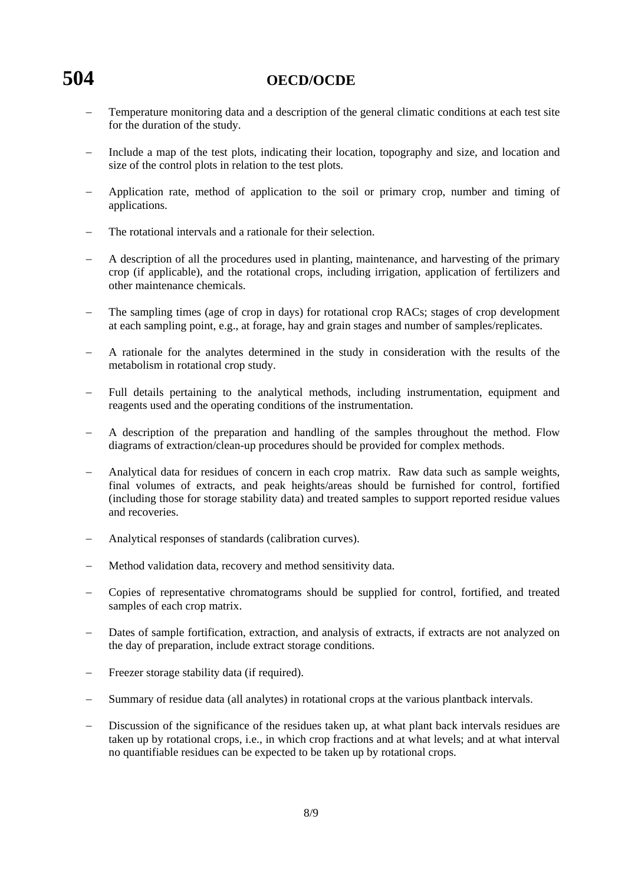- Temperature monitoring data and a description of the general climatic conditions at each test site for the duration of the study.
- − Include a map of the test plots, indicating their location, topography and size, and location and size of the control plots in relation to the test plots.
- − Application rate, method of application to the soil or primary crop, number and timing of applications.
- The rotational intervals and a rationale for their selection.
- A description of all the procedures used in planting, maintenance, and harvesting of the primary crop (if applicable), and the rotational crops, including irrigation, application of fertilizers and other maintenance chemicals.
- The sampling times (age of crop in days) for rotational crop RACs; stages of crop development at each sampling point, e.g., at forage, hay and grain stages and number of samples/replicates.
- − A rationale for the analytes determined in the study in consideration with the results of the metabolism in rotational crop study.
- Full details pertaining to the analytical methods, including instrumentation, equipment and reagents used and the operating conditions of the instrumentation.
- A description of the preparation and handling of the samples throughout the method. Flow diagrams of extraction/clean-up procedures should be provided for complex methods.
- − Analytical data for residues of concern in each crop matrix. Raw data such as sample weights, final volumes of extracts, and peak heights/areas should be furnished for control, fortified (including those for storage stability data) and treated samples to support reported residue values and recoveries.
- − Analytical responses of standards (calibration curves).
- − Method validation data, recovery and method sensitivity data.
- − Copies of representative chromatograms should be supplied for control, fortified, and treated samples of each crop matrix.
- Dates of sample fortification, extraction, and analysis of extracts, if extracts are not analyzed on the day of preparation, include extract storage conditions.
- Freezer storage stability data (if required).
- Summary of residue data (all analytes) in rotational crops at the various plantback intervals.
- Discussion of the significance of the residues taken up, at what plant back intervals residues are taken up by rotational crops, i.e., in which crop fractions and at what levels; and at what interval no quantifiable residues can be expected to be taken up by rotational crops.